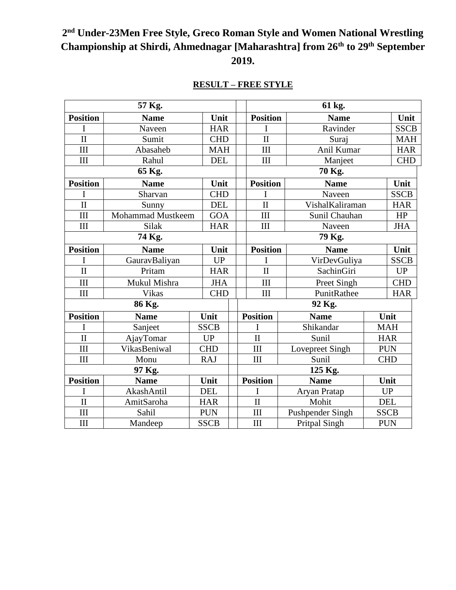# **2 nd Under-23Men Free Style, Greco Roman Style and Women National Wrestling Championship at Shirdi, Ahmednagar [Maharashtra] from 26th to 29th September 2019.**

| 57 Kg.              |                          |  |             |  |                 | 61 kg.                      |                                |                      |             |             |
|---------------------|--------------------------|--|-------------|--|-----------------|-----------------------------|--------------------------------|----------------------|-------------|-------------|
| <b>Position</b>     | <b>Name</b>              |  | Unit        |  | <b>Position</b> |                             | <b>Name</b>                    |                      | Unit        |             |
| I                   | Naveen                   |  | <b>HAR</b>  |  |                 | I                           |                                | Ravinder             |             | <b>SSCB</b> |
| $\mathbf{I}$        | Sumit                    |  | <b>CHD</b>  |  |                 | $\mathbf{I}$                |                                | Suraj                |             | <b>MAH</b>  |
| III                 | Abasaheb                 |  | <b>MAH</b>  |  |                 | III                         |                                | Anil Kumar           |             | <b>HAR</b>  |
| III                 | Rahul                    |  | <b>DEL</b>  |  |                 | III                         | Manjeet                        |                      |             | <b>CHD</b>  |
|                     | 65 Kg.                   |  |             |  |                 | 70 Kg.                      |                                |                      |             |             |
| <b>Position</b>     | <b>Name</b>              |  | Unit        |  |                 | <b>Position</b>             |                                | <b>Name</b>          |             | Unit        |
| I                   | Sharvan                  |  | <b>CHD</b>  |  |                 | I                           |                                | Naveen               |             | <b>SSCB</b> |
| $\mathbf{I}$        | Sunny                    |  | <b>DEL</b>  |  |                 | $\mathbf{I}$                |                                | VishalKaliraman      |             | <b>HAR</b>  |
| III                 | <b>Mohammad Mustkeem</b> |  | <b>GOA</b>  |  |                 | III                         |                                | Sunil Chauhan        |             | HP          |
| III                 | Silak                    |  | <b>HAR</b>  |  |                 | III                         |                                | Naveen               |             | <b>JHA</b>  |
| 74 Kg.              |                          |  |             |  |                 | 79 Kg.                      |                                |                      |             |             |
| <b>Position</b>     | <b>Name</b>              |  | Unit        |  |                 |                             | <b>Position</b><br><b>Name</b> |                      | Unit        |             |
| I                   | GauravBaliyan            |  | UP          |  |                 | I                           |                                | VirDevGuliya         |             | <b>SSCB</b> |
| $\mathbf{I}$        | Pritam                   |  | <b>HAR</b>  |  |                 | $\mathbf{I}$                |                                | SachinGiri           |             | <b>UP</b>   |
| III                 | Mukul Mishra             |  | <b>JHA</b>  |  |                 | III                         |                                | Preet Singh          |             | <b>CHD</b>  |
| $\rm III$           | Vikas                    |  | <b>CHD</b>  |  |                 | III                         |                                | PunitRathee          |             | <b>HAR</b>  |
| 86 Kg.              |                          |  |             |  |                 | 92 Kg.                      |                                |                      |             |             |
| <b>Position</b>     | <b>Name</b>              |  | Unit        |  |                 | <b>Position</b>             |                                | <b>Name</b>          |             | Unit        |
| I                   | Sanjeet                  |  | <b>SSCB</b> |  |                 | T                           |                                | Shikandar            |             | <b>MAH</b>  |
| $\overline{\rm II}$ | AjayTomar                |  | <b>UP</b>   |  |                 | $\mathbf{I}$                |                                | Sunil                |             | <b>HAR</b>  |
| III                 | VikasBeniwal             |  | <b>CHD</b>  |  |                 | III                         | Lovepreet Singh                |                      | <b>PUN</b>  |             |
| III                 | Monu                     |  | <b>RAJ</b>  |  |                 | $\mathop{\rm III}\nolimits$ |                                | Sunil                | <b>CHD</b>  |             |
| 97 Kg.              |                          |  |             |  |                 | 125 Kg.                     |                                |                      |             |             |
| <b>Position</b>     | <b>Name</b>              |  | Unit        |  |                 | <b>Position</b>             |                                | <b>Name</b>          | Unit        |             |
| I                   | AkashAntil               |  | <b>DEL</b>  |  |                 | I                           |                                | Aryan Pratap         | <b>UP</b>   |             |
| $\mathbf{I}$        | AmitSaroha               |  | <b>HAR</b>  |  |                 | $\mathbf{I}$                |                                | Mohit                | <b>DEL</b>  |             |
| III                 | Sahil                    |  | <b>PUN</b>  |  |                 | III                         |                                | Pushpender Singh     | <b>SSCB</b> |             |
| III                 | Mandeep                  |  | <b>SSCB</b> |  |                 | III                         |                                | <b>Pritpal Singh</b> | <b>PUN</b>  |             |

### **RESULT – FREE STYLE**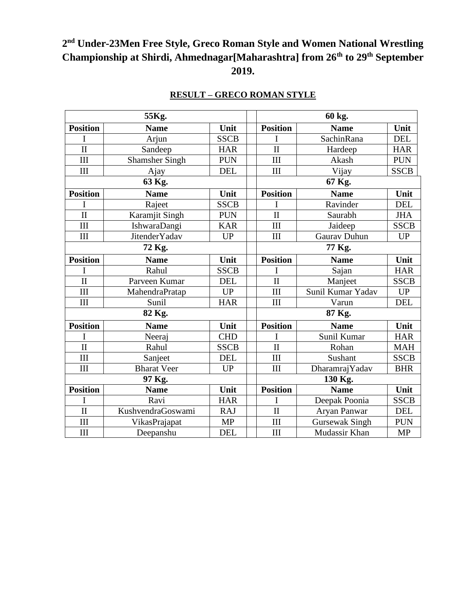## **2 nd Under-23Men Free Style, Greco Roman Style and Women National Wrestling Championship at Shirdi, Ahmednagar[Maharashtra] from 26th to 29th September 2019.**

| 55Kg.               |                       |             |  | 60 kg.                  |                       |             |  |  |
|---------------------|-----------------------|-------------|--|-------------------------|-----------------------|-------------|--|--|
| <b>Position</b>     | <b>Name</b>           | Unit        |  | <b>Position</b>         | <b>Name</b>           | Unit        |  |  |
| I                   | Arjun                 | <b>SSCB</b> |  | I                       | SachinRana            | <b>DEL</b>  |  |  |
| $\mathbf{I}$        | Sandeep               | <b>HAR</b>  |  | $\mathbf{I}$            | Hardeep               | <b>HAR</b>  |  |  |
| III                 | <b>Shamsher Singh</b> | <b>PUN</b>  |  | III                     | Akash                 | <b>PUN</b>  |  |  |
| III                 | Ajay                  | <b>DEL</b>  |  | III                     | Vijay                 | <b>SSCB</b> |  |  |
| 63 Kg.              |                       |             |  | 67 Kg.                  |                       |             |  |  |
| <b>Position</b>     | <b>Name</b>           | Unit        |  | <b>Position</b>         | <b>Name</b>           | Unit        |  |  |
| I                   | Rajeet                | <b>SSCB</b> |  | I                       | Ravinder              | <b>DEL</b>  |  |  |
| $\mathbf{I}$        | Karamjit Singh        | <b>PUN</b>  |  | $\mathbf{I}$            | Saurabh               | <b>JHA</b>  |  |  |
| III                 | IshwaraDangi          | <b>KAR</b>  |  | III                     | Jaideep               | <b>SSCB</b> |  |  |
| III                 | <b>JitenderYadav</b>  | <b>UP</b>   |  | III                     | <b>Gaurav Duhun</b>   | <b>UP</b>   |  |  |
|                     | 72 Kg.                |             |  | 77 Kg.                  |                       |             |  |  |
| <b>Position</b>     | <b>Name</b>           | Unit        |  | <b>Position</b>         | <b>Name</b>           | Unit        |  |  |
|                     | Rahul                 | <b>SSCB</b> |  | I                       | Sajan                 | <b>HAR</b>  |  |  |
| $\overline{\rm II}$ | Parveen Kumar         | <b>DEL</b>  |  | $\overline{\rm II}$     | Manjeet               | <b>SSCB</b> |  |  |
| III                 | MahendraPratap        | <b>UP</b>   |  | III                     | Sunil Kumar Yadav     | <b>UP</b>   |  |  |
| III                 | Sunil                 | <b>HAR</b>  |  | III                     | Varun                 | <b>DEL</b>  |  |  |
| 82 Kg.              |                       |             |  | 87 Kg.                  |                       |             |  |  |
| <b>Position</b>     | <b>Name</b>           | Unit        |  | <b>Position</b>         | <b>Name</b>           | Unit        |  |  |
| I                   | Neeraj                | <b>CHD</b>  |  | I                       | Sunil Kumar           | <b>HAR</b>  |  |  |
| $\mathbf{I}$        | Rahul                 | <b>SSCB</b> |  | $\overline{\mathbf{u}}$ | Rohan                 | <b>MAH</b>  |  |  |
| III                 | Sanjeet               | <b>DEL</b>  |  | III                     | Sushant               | <b>SSCB</b> |  |  |
| III                 | <b>Bharat Veer</b>    | <b>UP</b>   |  | III                     | DharamrajYadav        | <b>BHR</b>  |  |  |
| 97 Kg.              |                       |             |  | 130 Kg.                 |                       |             |  |  |
| <b>Position</b>     | <b>Name</b>           | Unit        |  | <b>Position</b>         | <b>Name</b>           | Unit        |  |  |
| I                   | Ravi                  | <b>HAR</b>  |  | I                       | Deepak Poonia         | <b>SSCB</b> |  |  |
| $\mathbf{I}$        | KushvendraGoswami     | <b>RAJ</b>  |  | $\mathbf{I}$            | Aryan Panwar          | <b>DEL</b>  |  |  |
| III                 | VikasPrajapat         | <b>MP</b>   |  | III                     | <b>Gursewak Singh</b> | <b>PUN</b>  |  |  |
| III                 | Deepanshu             | <b>DEL</b>  |  | III                     | Mudassir Khan         | MP          |  |  |

### **RESULT – GRECO ROMAN STYLE**